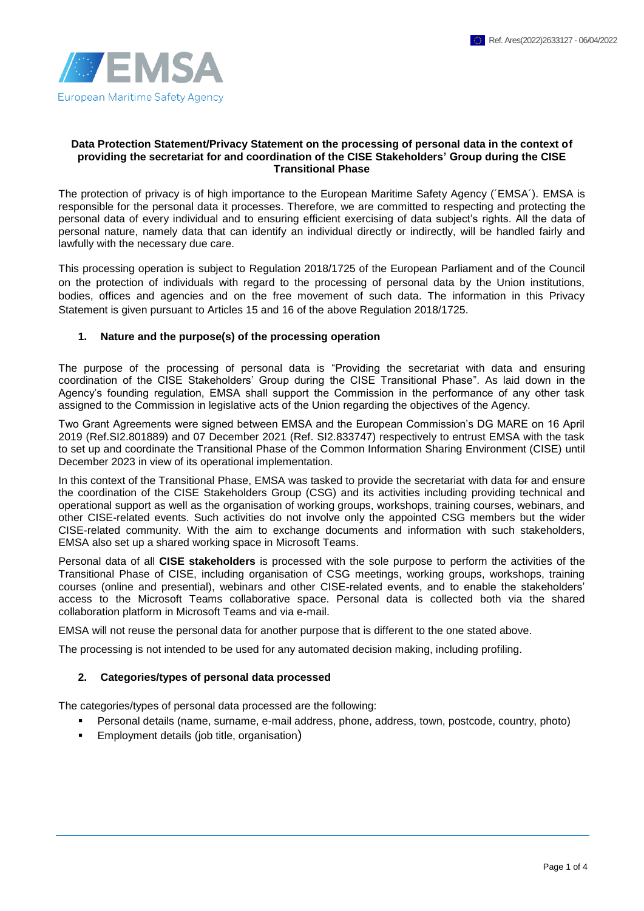

#### **Data Protection Statement/Privacy Statement on the processing of personal data in the context of providing the secretariat for and coordination of the CISE Stakeholders' Group during the CISE Transitional Phase**

The protection of privacy is of high importance to the European Maritime Safety Agency (´EMSA´). EMSA is responsible for the personal data it processes. Therefore, we are committed to respecting and protecting the personal data of every individual and to ensuring efficient exercising of data subject's rights. All the data of personal nature, namely data that can identify an individual directly or indirectly, will be handled fairly and lawfully with the necessary due care.

This processing operation is subject to Regulation 2018/1725 of the European Parliament and of the Council on the protection of individuals with regard to the processing of personal data by the Union institutions, bodies, offices and agencies and on the free movement of such data. The information in this Privacy Statement is given pursuant to Articles 15 and 16 of the above Regulation 2018/1725.

### **1. Nature and the purpose(s) of the processing operation**

The purpose of the processing of personal data is "Providing the secretariat with data and ensuring coordination of the CISE Stakeholders' Group during the CISE Transitional Phase". As laid down in the Agency's founding regulation, EMSA shall support the Commission in the performance of any other task assigned to the Commission in legislative acts of the Union regarding the objectives of the Agency.

Two Grant Agreements were signed between EMSA and the European Commission's DG MARE on 16 April 2019 (Ref.SI2.801889) and 07 December 2021 (Ref. SI2.833747) respectively to entrust EMSA with the task to set up and coordinate the Transitional Phase of the Common Information Sharing Environment (CISE) until December 2023 in view of its operational implementation.

In this context of the Transitional Phase, EMSA was tasked to provide the secretariat with data for and ensure the coordination of the CISE Stakeholders Group (CSG) and its activities including providing technical and operational support as well as the organisation of working groups, workshops, training courses, webinars, and other CISE-related events. Such activities do not involve only the appointed CSG members but the wider CISE-related community. With the aim to exchange documents and information with such stakeholders, EMSA also set up a shared working space in Microsoft Teams.

Personal data of all **CISE stakeholders** is processed with the sole purpose to perform the activities of the Transitional Phase of CISE, including organisation of CSG meetings, working groups, workshops, training courses (online and presential), webinars and other CISE-related events, and to enable the stakeholders' access to the Microsoft Teams collaborative space. Personal data is collected both via the shared collaboration platform in Microsoft Teams and via e-mail.

EMSA will not reuse the personal data for another purpose that is different to the one stated above.

The processing is not intended to be used for any automated decision making, including profiling.

### **2. Categories/types of personal data processed**

The categories/types of personal data processed are the following:

- Personal details (name, surname, e-mail address, phone, address, town, postcode, country, photo)
- **Employment details (job title, organisation)**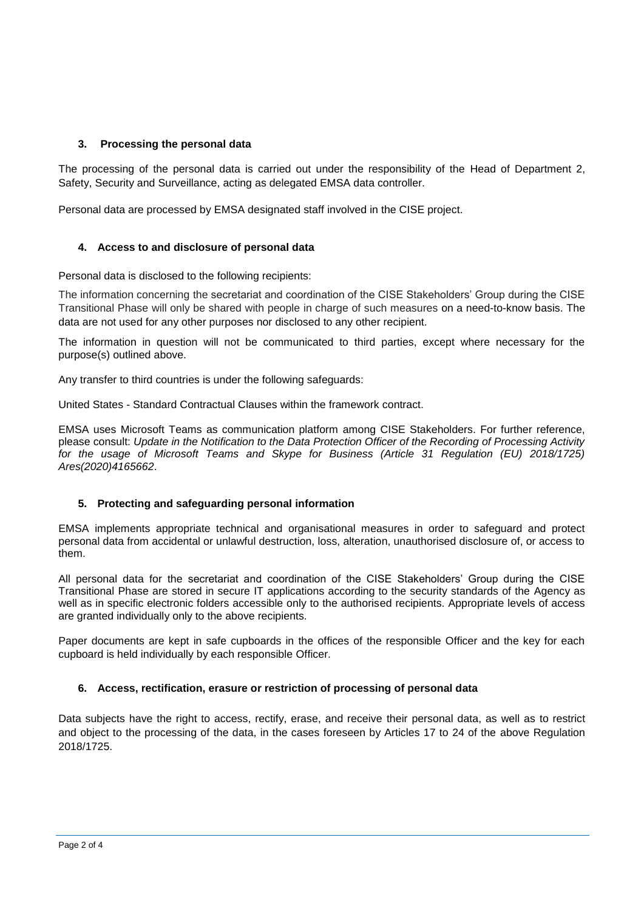# **3. Processing the personal data**

The processing of the personal data is carried out under the responsibility of the Head of Department 2, Safety, Security and Surveillance, acting as delegated EMSA data controller.

Personal data are processed by EMSA designated staff involved in the CISE project.

## **4. Access to and disclosure of personal data**

Personal data is disclosed to the following recipients:

The information concerning the secretariat and coordination of the CISE Stakeholders' Group during the CISE Transitional Phase will only be shared with people in charge of such measures on a need-to-know basis. The data are not used for any other purposes nor disclosed to any other recipient.

The information in question will not be communicated to third parties, except where necessary for the purpose(s) outlined above.

Any transfer to third countries is under the following safeguards:

United States - Standard Contractual Clauses within the framework contract.

EMSA uses Microsoft Teams as communication platform among CISE Stakeholders. For further reference, please consult: *Update in the Notification to the Data Protection Officer of the Recording of Processing Activity*  for the usage of Microsoft Teams and Skype for Business (Article 31 Regulation (EU) 2018/1725) *[Ares\(2020\)4165662](https://webgate.ec.testa.eu/Ares/document/show.do?documentId=080166e5d257a2d9×tamp=1648809862284)*.

### **5. Protecting and safeguarding personal information**

EMSA implements appropriate technical and organisational measures in order to safeguard and protect personal data from accidental or unlawful destruction, loss, alteration, unauthorised disclosure of, or access to them.

All personal data for the secretariat and coordination of the CISE Stakeholders' Group during the CISE Transitional Phase are stored in secure IT applications according to the security standards of the Agency as well as in specific electronic folders accessible only to the authorised recipients. Appropriate levels of access are granted individually only to the above recipients.

Paper documents are kept in safe cupboards in the offices of the responsible Officer and the key for each cupboard is held individually by each responsible Officer.

### **6. Access, rectification, erasure or restriction of processing of personal data**

Data subjects have the right to access, rectify, erase, and receive their personal data, as well as to restrict and object to the processing of the data, in the cases foreseen by Articles 17 to 24 of the above Regulation 2018/1725.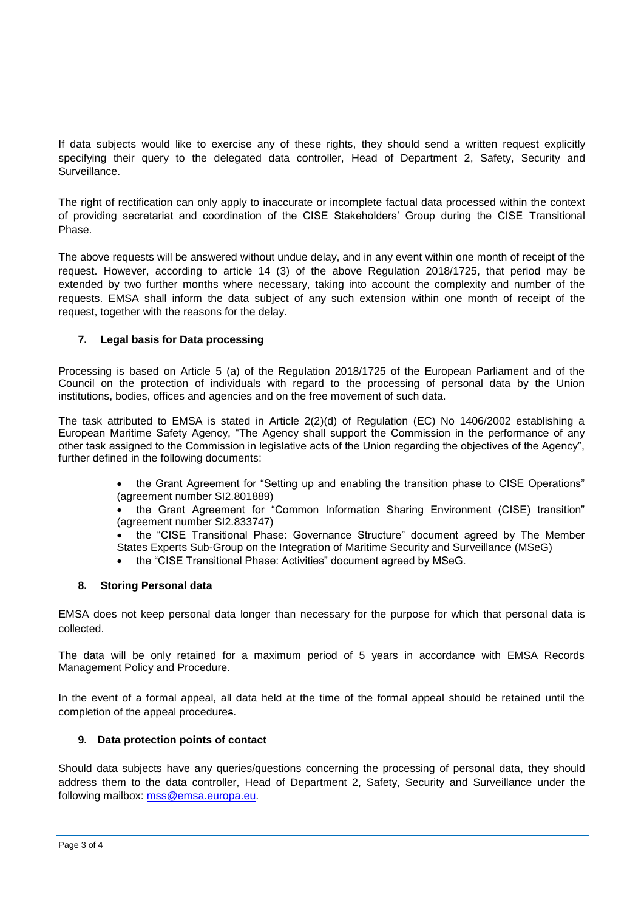If data subjects would like to exercise any of these rights, they should send a written request explicitly specifying their query to the delegated data controller. Head of Department 2, Safety, Security and Surveillance.

The right of rectification can only apply to inaccurate or incomplete factual data processed within the context of providing secretariat and coordination of the CISE Stakeholders' Group during the CISE Transitional Phase.

The above requests will be answered without undue delay, and in any event within one month of receipt of the request. However, according to article 14 (3) of the above Regulation 2018/1725, that period may be extended by two further months where necessary, taking into account the complexity and number of the requests. EMSA shall inform the data subject of any such extension within one month of receipt of the request, together with the reasons for the delay.

## **7. Legal basis for Data processing**

Processing is based on Article 5 (a) of the Regulation 2018/1725 of the European Parliament and of the Council on the protection of individuals with regard to the processing of personal data by the Union institutions, bodies, offices and agencies and on the free movement of such data.

The task attributed to EMSA is stated in Article 2(2)(d) of Regulation (EC) No 1406/2002 establishing a European Maritime Safety Agency, "The Agency shall support the Commission in the performance of any other task assigned to the Commission in legislative acts of the Union regarding the objectives of the Agency", further defined in the following documents:

- the Grant Agreement for "Setting up and enabling the transition phase to CISE Operations" (agreement number SI2.801889)
- the Grant Agreement for "Common Information Sharing Environment (CISE) transition" (agreement number SI2.833747)
- the "CISE Transitional Phase: Governance Structure" document agreed by The Member
- States Experts Sub-Group on the Integration of Maritime Security and Surveillance (MSeG)
- the "CISE Transitional Phase: Activities" document agreed by MSeG.

### **8. Storing Personal data**

EMSA does not keep personal data longer than necessary for the purpose for which that personal data is collected.

The data will be only retained for a maximum period of 5 years in accordance with EMSA Records Management Policy and Procedure.

In the event of a formal appeal, all data held at the time of the formal appeal should be retained until the completion of the appeal procedures.

### **9. Data protection points of contact**

Should data subjects have any queries/questions concerning the processing of personal data, they should address them to the data controller, Head of Department 2, Safety, Security and Surveillance under the following mailbox: [mss@emsa.europa.eu.](mailto:mss@emsa.europa.eu)